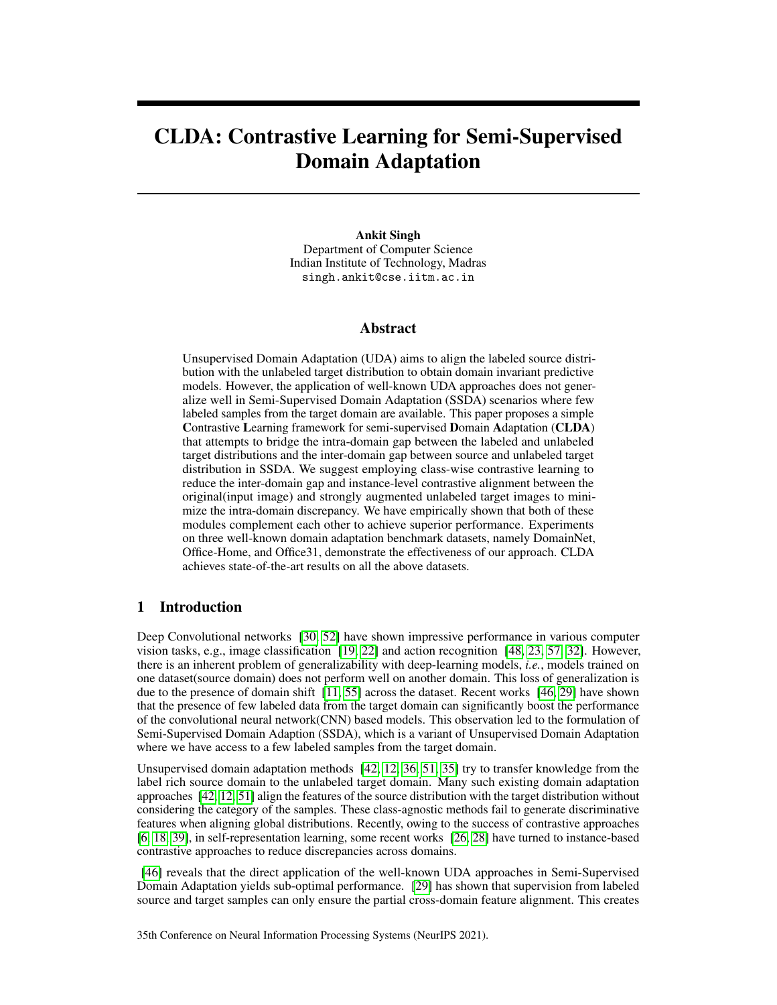# CLDA: Contrastive Learning for Semi-Supervised Domain Adaptation

Ankit Singh Department of Computer Science Indian Institute of Technology, Madras singh.ankit@cse.iitm.ac.in

## Abstract

Unsupervised Domain Adaptation (UDA) aims to align the labeled source distribution with the unlabeled target distribution to obtain domain invariant predictive models. However, the application of well-known UDA approaches does not generalize well in Semi-Supervised Domain Adaptation (SSDA) scenarios where few labeled samples from the target domain are available. This paper proposes a simple Contrastive Learning framework for semi-supervised Domain Adaptation (CLDA) that attempts to bridge the intra-domain gap between the labeled and unlabeled target distributions and the inter-domain gap between source and unlabeled target distribution in SSDA. We suggest employing class-wise contrastive learning to reduce the inter-domain gap and instance-level contrastive alignment between the original(input image) and strongly augmented unlabeled target images to minimize the intra-domain discrepancy. We have empirically shown that both of these modules complement each other to achieve superior performance. Experiments on three well-known domain adaptation benchmark datasets, namely DomainNet, Office-Home, and Office31, demonstrate the effectiveness of our approach. CLDA achieves state-of-the-art results on all the above datasets.

# 1 Introduction

Deep Convolutional networks [\[30,](#page-11-0) [52\]](#page-12-0) have shown impressive performance in various computer vision tasks, e.g., image classification [\[19,](#page-10-0) [22\]](#page-11-1) and action recognition [\[48,](#page-12-1) [23,](#page-11-2) [57,](#page-12-2) [32\]](#page-11-3). However, there is an inherent problem of generalizability with deep-learning models, *i.e.*, models trained on one dataset(source domain) does not perform well on another domain. This loss of generalization is due to the presence of domain shift [\[11,](#page-10-1) [55\]](#page-12-3) across the dataset. Recent works [\[46,](#page-12-4) [29\]](#page-11-4) have shown that the presence of few labeled data from the target domain can significantly boost the performance of the convolutional neural network(CNN) based models. This observation led to the formulation of Semi-Supervised Domain Adaption (SSDA), which is a variant of Unsupervised Domain Adaptation where we have access to a few labeled samples from the target domain.

Unsupervised domain adaptation methods [\[42,](#page-12-5) [12,](#page-10-2) [36,](#page-11-5) [51,](#page-12-6) [35\]](#page-11-6) try to transfer knowledge from the label rich source domain to the unlabeled target domain. Many such existing domain adaptation approaches [\[42,](#page-12-5) [12,](#page-10-2) [51\]](#page-12-6) align the features of the source distribution with the target distribution without considering the category of the samples. These class-agnostic methods fail to generate discriminative features when aligning global distributions. Recently, owing to the success of contrastive approaches [\[6,](#page-10-3) [18,](#page-10-4) [39\]](#page-11-7), in self-representation learning, some recent works [\[26,](#page-11-8) [28\]](#page-11-9) have turned to instance-based contrastive approaches to reduce discrepancies across domains.

[\[46\]](#page-12-4) reveals that the direct application of the well-known UDA approaches in Semi-Supervised Domain Adaptation yields sub-optimal performance. [\[29\]](#page-11-4) has shown that supervision from labeled source and target samples can only ensure the partial cross-domain feature alignment. This creates

35th Conference on Neural Information Processing Systems (NeurIPS 2021).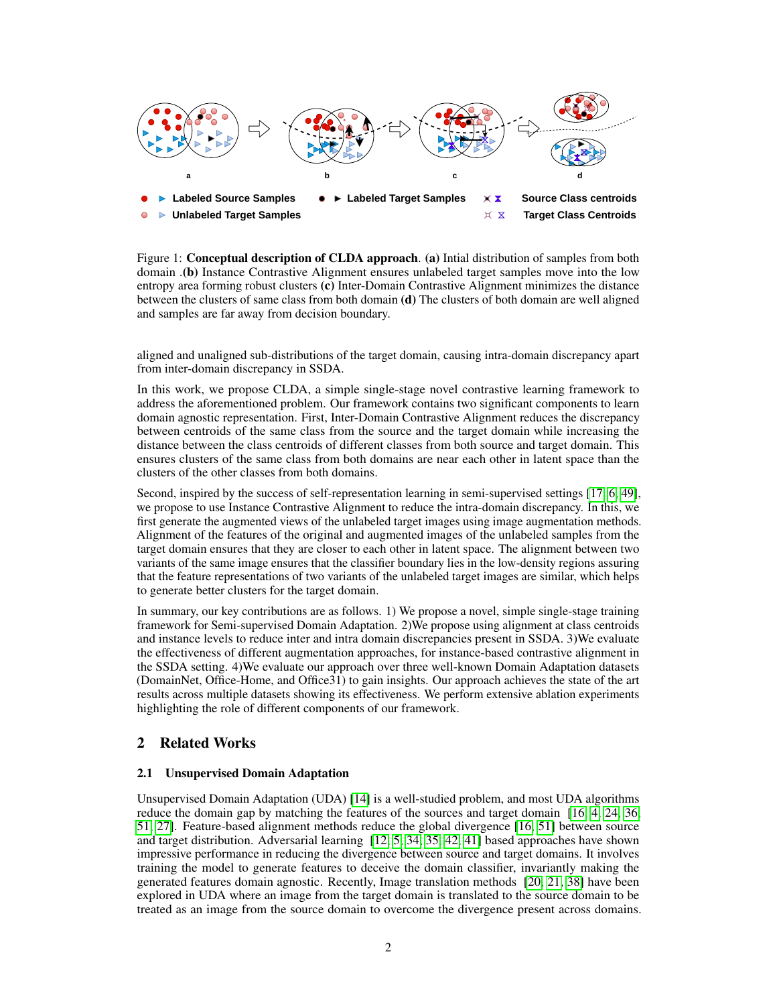

Figure 1: **Conceptual description of CLDA approach**. (a) Intial distribution of samples from both domain .(b) Instance Contrastive Alignment ensures unlabeled target samples move into the low entropy area forming robust clusters (c) Inter-Domain Contrastive Alignment minimizes the distance between the clusters of same class from both domain (d) The clusters of both domain are well aligned and samples are far away from decision boundary.

aligned and unaligned sub-distributions of the target domain, causing intra-domain discrepancy apart from inter-domain discrepancy in SSDA.

In this work, we propose CLDA, a simple single-stage novel contrastive learning framework to address the aforementioned problem. Our framework contains two significant components to learn domain agnostic representation. First, Inter-Domain Contrastive Alignment reduces the discrepancy between centroids of the same class from the source and the target domain while increasing the distance between the class centroids of different classes from both source and target domain. This ensures clusters of the same class from both domains are near each other in latent space than the clusters of the other classes from both domains.

Second, inspired by the success of self-representation learning in semi-supervised settings [\[17,](#page-10-5) [6,](#page-10-3) [49\]](#page-12-7), we propose to use Instance Contrastive Alignment to reduce the intra-domain discrepancy. In this, we first generate the augmented views of the unlabeled target images using image augmentation methods. Alignment of the features of the original and augmented images of the unlabeled samples from the target domain ensures that they are closer to each other in latent space. The alignment between two variants of the same image ensures that the classifier boundary lies in the low-density regions assuring that the feature representations of two variants of the unlabeled target images are similar, which helps to generate better clusters for the target domain.

In summary, our key contributions are as follows. 1) We propose a novel, simple single-stage training framework for Semi-supervised Domain Adaptation. 2)We propose using alignment at class centroids and instance levels to reduce inter and intra domain discrepancies present in SSDA. 3)We evaluate the effectiveness of different augmentation approaches, for instance-based contrastive alignment in the SSDA setting. 4)We evaluate our approach over three well-known Domain Adaptation datasets (DomainNet, Office-Home, and Office31) to gain insights. Our approach achieves the state of the art results across multiple datasets showing its effectiveness. We perform extensive ablation experiments highlighting the role of different components of our framework.

## 2 Related Works

## 2.1 Unsupervised Domain Adaptation

Unsupervised Domain Adaptation (UDA) [\[14\]](#page-10-6) is a well-studied problem, and most UDA algorithms reduce the domain gap by matching the features of the sources and target domain [\[16,](#page-10-7) [4,](#page-10-8) [24,](#page-11-10) [36,](#page-11-5) [51,](#page-12-6) [27\]](#page-11-11). Feature-based alignment methods reduce the global divergence [\[16,](#page-10-7) [51\]](#page-12-6) between source and target distribution. Adversarial learning [\[12,](#page-10-2) [5,](#page-10-9) [34,](#page-11-12) [35,](#page-11-6) [42,](#page-12-5) [41\]](#page-12-8) based approaches have shown impressive performance in reducing the divergence between source and target domains. It involves training the model to generate features to deceive the domain classifier, invariantly making the generated features domain agnostic. Recently, Image translation methods [\[20,](#page-10-10) [21,](#page-10-11) [38\]](#page-11-13) have been explored in UDA where an image from the target domain is translated to the source domain to be treated as an image from the source domain to overcome the divergence present across domains.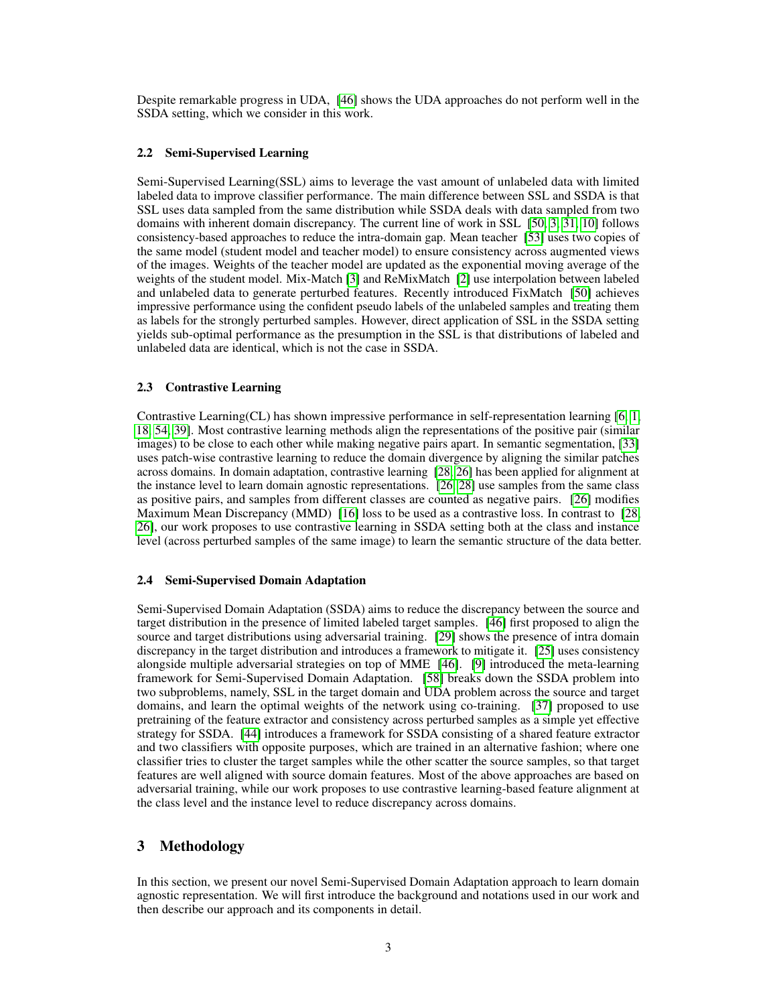Despite remarkable progress in UDA, [\[46\]](#page-12-4) shows the UDA approaches do not perform well in the SSDA setting, which we consider in this work.

#### 2.2 Semi-Supervised Learning

Semi-Supervised Learning(SSL) aims to leverage the vast amount of unlabeled data with limited labeled data to improve classifier performance. The main difference between SSL and SSDA is that SSL uses data sampled from the same distribution while SSDA deals with data sampled from two domains with inherent domain discrepancy. The current line of work in SSL [\[50,](#page-12-9) [3,](#page-10-12) [31,](#page-11-14) [10\]](#page-10-13) follows consistency-based approaches to reduce the intra-domain gap. Mean teacher [\[53\]](#page-12-10) uses two copies of the same model (student model and teacher model) to ensure consistency across augmented views of the images. Weights of the teacher model are updated as the exponential moving average of the weights of the student model. Mix-Match [\[3\]](#page-10-12) and ReMixMatch [\[2\]](#page-9-0) use interpolation between labeled and unlabeled data to generate perturbed features. Recently introduced FixMatch [\[50\]](#page-12-9) achieves impressive performance using the confident pseudo labels of the unlabeled samples and treating them as labels for the strongly perturbed samples. However, direct application of SSL in the SSDA setting yields sub-optimal performance as the presumption in the SSL is that distributions of labeled and unlabeled data are identical, which is not the case in SSDA.

#### 2.3 Contrastive Learning

Contrastive Learning(CL) has shown impressive performance in self-representation learning [\[6,](#page-10-3) [1,](#page-9-1) [18,](#page-10-4) [54,](#page-12-11) [39\]](#page-11-7). Most contrastive learning methods align the representations of the positive pair (similar images) to be close to each other while making negative pairs apart. In semantic segmentation, [\[33\]](#page-11-15) uses patch-wise contrastive learning to reduce the domain divergence by aligning the similar patches across domains. In domain adaptation, contrastive learning [\[28,](#page-11-9) [26\]](#page-11-8) has been applied for alignment at the instance level to learn domain agnostic representations. [\[26,](#page-11-8) [28\]](#page-11-9) use samples from the same class as positive pairs, and samples from different classes are counted as negative pairs. [\[26\]](#page-11-8) modifies Maximum Mean Discrepancy (MMD) [\[16\]](#page-10-7) loss to be used as a contrastive loss. In contrast to [\[28,](#page-11-9) [26\]](#page-11-8), our work proposes to use contrastive learning in SSDA setting both at the class and instance level (across perturbed samples of the same image) to learn the semantic structure of the data better.

#### 2.4 Semi-Supervised Domain Adaptation

Semi-Supervised Domain Adaptation (SSDA) aims to reduce the discrepancy between the source and target distribution in the presence of limited labeled target samples. [\[46\]](#page-12-4) first proposed to align the source and target distributions using adversarial training. [\[29\]](#page-11-4) shows the presence of intra domain discrepancy in the target distribution and introduces a framework to mitigate it. [\[25\]](#page-11-16) uses consistency alongside multiple adversarial strategies on top of MME [\[46\]](#page-12-4). [\[9\]](#page-10-14) introduced the meta-learning framework for Semi-Supervised Domain Adaptation. [\[58\]](#page-12-12) breaks down the SSDA problem into two subproblems, namely, SSL in the target domain and UDA problem across the source and target domains, and learn the optimal weights of the network using co-training. [\[37\]](#page-11-17) proposed to use pretraining of the feature extractor and consistency across perturbed samples as a simple yet effective strategy for SSDA. [\[44\]](#page-12-13) introduces a framework for SSDA consisting of a shared feature extractor and two classifiers with opposite purposes, which are trained in an alternative fashion; where one classifier tries to cluster the target samples while the other scatter the source samples, so that target features are well aligned with source domain features. Most of the above approaches are based on adversarial training, while our work proposes to use contrastive learning-based feature alignment at the class level and the instance level to reduce discrepancy across domains.

## 3 Methodology

In this section, we present our novel Semi-Supervised Domain Adaptation approach to learn domain agnostic representation. We will first introduce the background and notations used in our work and then describe our approach and its components in detail.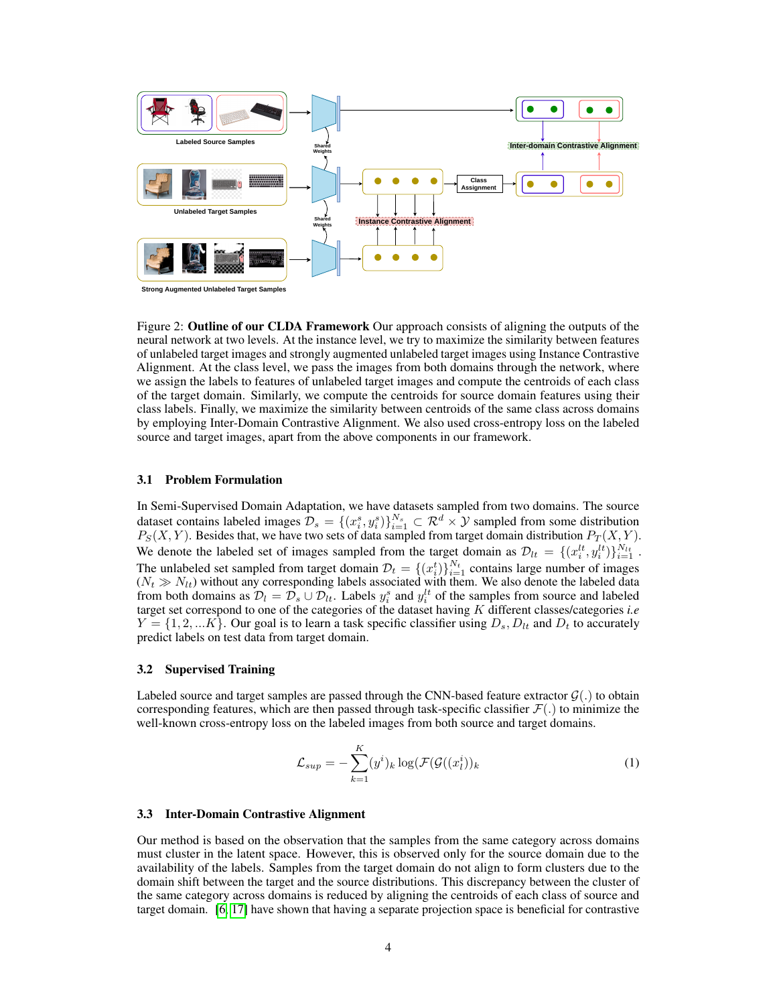

**Strong Augmented Unlabeled Target Samples**

Figure 2: **Outline of our CLDA Framework** Our approach consists of aligning the outputs of the neural network at two levels. At the instance level, we try to maximize the similarity between features of unlabeled target images and strongly augmented unlabeled target images using Instance Contrastive Alignment. At the class level, we pass the images from both domains through the network, where we assign the labels to features of unlabeled target images and compute the centroids of each class of the target domain. Similarly, we compute the centroids for source domain features using their class labels. Finally, we maximize the similarity between centroids of the same class across domains by employing Inter-Domain Contrastive Alignment. We also used cross-entropy loss on the labeled source and target images, apart from the above components in our framework.

#### 3.1 Problem Formulation

In Semi-Supervised Domain Adaptation, we have datasets sampled from two domains. The source dataset contains labeled images  $\mathcal{D}_s = \{(x_i^s, y_i^s)\}_{i=1}^{N_s} \subset \mathcal{R}^d \times \mathcal{Y}$  sampled from some distribution  $P_S(X, Y)$ . Besides that, we have two sets of data sampled from target domain distribution  $P_T(X, Y)$ . We denote the labeled set of images sampled from the target domain as  $\mathcal{D}_{lt} = \{(x_i^{lt}, y_i^{lt})\}_{i=1}^{N_{lt}}$ . The unlabeled set sampled from target domain  $\mathcal{D}_t = \{(x_i^t)\}_{i=1}^{N_t}$  contains large number of images  $(N_t \gg N_{lt})$  without any corresponding labels associated with them. We also denote the labeled data from both domains as  $\mathcal{D}_l = \mathcal{D}_s \cup \mathcal{D}_{lt}$ . Labels  $y_i^s$  and  $y_i^{lt}$  of the samples from source and labeled target set correspond to one of the categories of the dataset having K different classes/categories *i.e*  $Y = \{1, 2, ... K\}$ . Our goal is to learn a task specific classifier using  $D_s, D_{tt}$  and  $D_t$  to accurately predict labels on test data from target domain.

#### 3.2 Supervised Training

Labeled source and target samples are passed through the CNN-based feature extractor  $\mathcal{G}(.)$  to obtain corresponding features, which are then passed through task-specific classifier  $\mathcal{F}(\cdot)$  to minimize the well-known cross-entropy loss on the labeled images from both source and target domains.

$$
\mathcal{L}_{sup} = -\sum_{k=1}^{K} (y^i)_k \log(\mathcal{F}(\mathcal{G}((x_l^i))_k)
$$
 (1)

#### 3.3 Inter-Domain Contrastive Alignment

Our method is based on the observation that the samples from the same category across domains must cluster in the latent space. However, this is observed only for the source domain due to the availability of the labels. Samples from the target domain do not align to form clusters due to the domain shift between the target and the source distributions. This discrepancy between the cluster of the same category across domains is reduced by aligning the centroids of each class of source and target domain. [\[6,](#page-10-3) [17\]](#page-10-5) have shown that having a separate projection space is beneficial for contrastive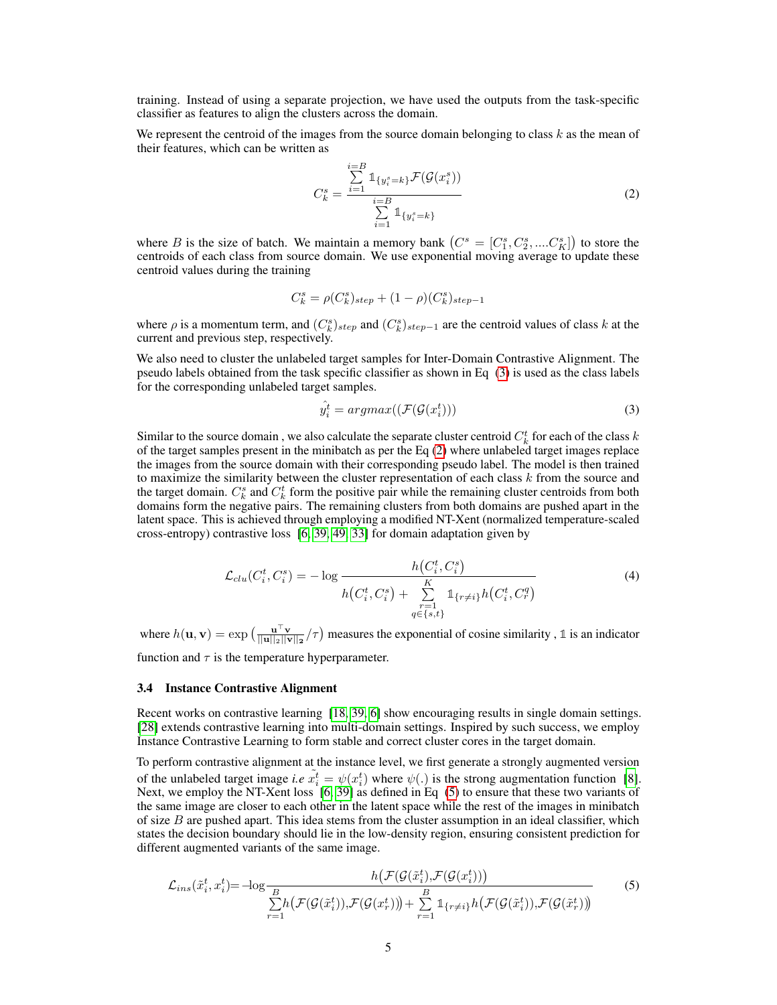training. Instead of using a separate projection, we have used the outputs from the task-specific classifier as features to align the clusters across the domain.

We represent the centroid of the images from the source domain belonging to class  $k$  as the mean of their features, which can be written as

<span id="page-4-1"></span>
$$
C_k^s = \frac{\sum_{i=1}^{i=B} 1_{\{y_i^s = k\}} \mathcal{F}(\mathcal{G}(x_i^s))}{\sum_{i=1}^{i=B} 1_{\{y_i^s = k\}}}
$$
(2)

where B is the size of batch. We maintain a memory bank  $(C^s = [C_1^s, C_2^s, ....C_K^s])$  to store the centroids of each class from source domain. We use exponential moving average to update these centroid values during the training

$$
C_k^s = \rho(C_k^s)_{step} + (1-\rho)(C_k^s)_{step-1}
$$

where  $\rho$  is a momentum term, and  $(C_k^s)_{step}$  and  $(C_k^s)_{step-1}$  are the centroid values of class k at the current and previous step, respectively.

We also need to cluster the unlabeled target samples for Inter-Domain Contrastive Alignment. The pseudo labels obtained from the task specific classifier as shown in Eq [\(3\)](#page-4-0) is used as the class labels for the corresponding unlabeled target samples.

<span id="page-4-0"></span>
$$
\hat{y}_i^t = argmax((\mathcal{F}(\mathcal{G}(x_i^t)))
$$
\n(3)

Similar to the source domain, we also calculate the separate cluster centroid  $C_k^t$  for each of the class k of the target samples present in the minibatch as per the Eq  $(2)$  where unlabeled target images replace the images from the source domain with their corresponding pseudo label. The model is then trained to maximize the similarity between the cluster representation of each class  $k$  from the source and the target domain.  $C_k^s$  and  $C_k^t$  form the positive pair while the remaining cluster centroids from both domains form the negative pairs. The remaining clusters from both domains are pushed apart in the latent space. This is achieved through employing a modified NT-Xent (normalized temperature-scaled cross-entropy) contrastive loss [\[6,](#page-10-3) [39,](#page-11-7) [49,](#page-12-7) [33\]](#page-11-15) for domain adaptation given by

$$
\mathcal{L}_{clu}(C_i^t, C_i^s) = -\log \frac{h(C_i^t, C_i^s)}{h(C_i^t, C_i^s) + \sum_{\substack{r=1 \ q \in \{s,t\}}}^K \mathbb{1}_{\{r \neq i\}} h(C_i^t, C_r^q)}
$$
(4)

where  $h(\mathbf{u}, \mathbf{v}) = \exp\left(\frac{\mathbf{u}^\top \mathbf{v}}{||\mathbf{u}||_2||\mathbf{v}||_2}/\tau\right)$  measures the exponential of cosine similarity, 1 is an indicator function and  $\tau$  is the temperature hyperparameter.

3.4 Instance Contrastive Alignment

Recent works on contrastive learning [\[18,](#page-10-4) [39,](#page-11-7) [6\]](#page-10-3) show encouraging results in single domain settings. [\[28\]](#page-11-9) extends contrastive learning into multi-domain settings. Inspired by such success, we employ Instance Contrastive Learning to form stable and correct cluster cores in the target domain.

To perform contrastive alignment at the instance level, we first generate a strongly augmented version of the unlabeled target image *i.e*  $\tilde{x}_i^t = \psi(x_i^t)$  where  $\psi(.)$  is the strong augmentation function [\[8\]](#page-10-15). Next, we employ the NT-Xent loss [\[6,](#page-10-3) [39\]](#page-11-7) as defined in Eq [\(5\)](#page-4-2) to ensure that these two variants of the same image are closer to each other in the latent space while the rest of the images in minibatch of size  $B$  are pushed apart. This idea stems from the cluster assumption in an ideal classifier, which states the decision boundary should lie in the low-density region, ensuring consistent prediction for different augmented variants of the same image.

<span id="page-4-2"></span>
$$
\mathcal{L}_{ins}(\tilde{x}_i^t, x_i^t) = -\log \frac{h\big(\mathcal{F}(\mathcal{G}(\tilde{x}_i^t), \mathcal{F}(\mathcal{G}(x_i^t))\big)\big)}{\sum\limits_{r=1}^B h\big(\mathcal{F}(\mathcal{G}(\tilde{x}_i^t)), \mathcal{F}(\mathcal{G}(x_r^t))\big) + \sum\limits_{r=1}^B \mathbb{1}_{\{r \neq i\}} h\big(\mathcal{F}(\mathcal{G}(\tilde{x}_i^t)), \mathcal{F}(\mathcal{G}(\tilde{x}_r^t))\big)}
$$
(5)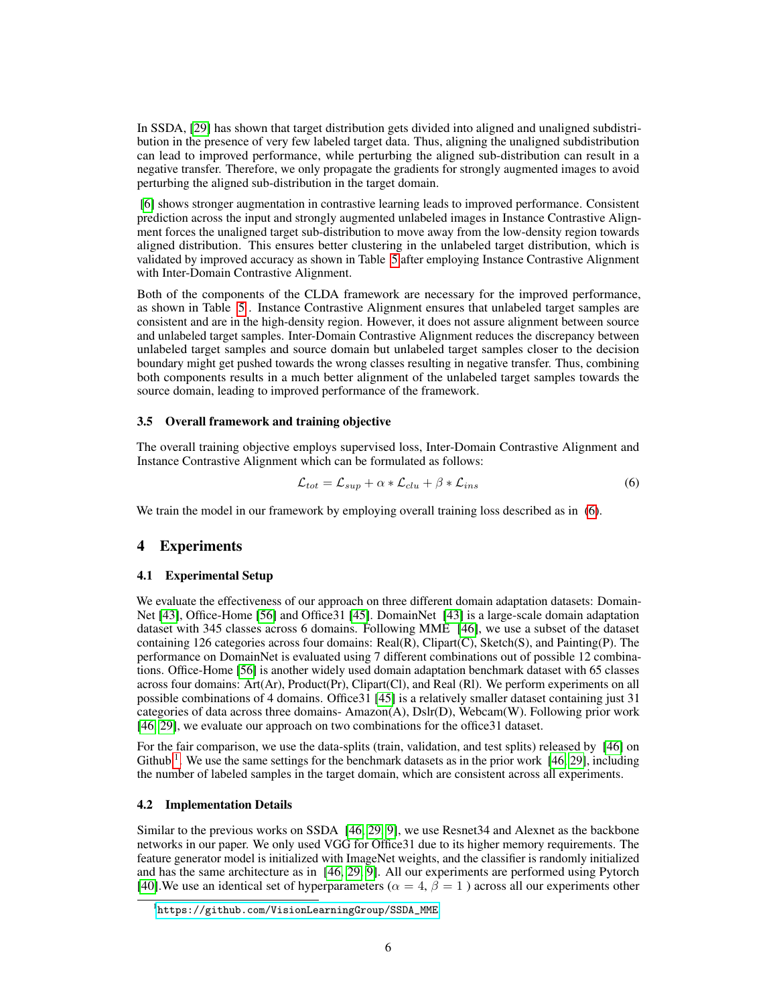In SSDA, [\[29\]](#page-11-4) has shown that target distribution gets divided into aligned and unaligned subdistribution in the presence of very few labeled target data. Thus, aligning the unaligned subdistribution can lead to improved performance, while perturbing the aligned sub-distribution can result in a negative transfer. Therefore, we only propagate the gradients for strongly augmented images to avoid perturbing the aligned sub-distribution in the target domain.

[\[6\]](#page-10-3) shows stronger augmentation in contrastive learning leads to improved performance. Consistent prediction across the input and strongly augmented unlabeled images in Instance Contrastive Alignment forces the unaligned target sub-distribution to move away from the low-density region towards aligned distribution. This ensures better clustering in the unlabeled target distribution, which is validated by improved accuracy as shown in Table [5](#page-8-0) after employing Instance Contrastive Alignment with Inter-Domain Contrastive Alignment.

Both of the components of the CLDA framework are necessary for the improved performance, as shown in Table [5](#page-8-0) . Instance Contrastive Alignment ensures that unlabeled target samples are consistent and are in the high-density region. However, it does not assure alignment between source and unlabeled target samples. Inter-Domain Contrastive Alignment reduces the discrepancy between unlabeled target samples and source domain but unlabeled target samples closer to the decision boundary might get pushed towards the wrong classes resulting in negative transfer. Thus, combining both components results in a much better alignment of the unlabeled target samples towards the source domain, leading to improved performance of the framework.

#### 3.5 Overall framework and training objective

The overall training objective employs supervised loss, Inter-Domain Contrastive Alignment and Instance Contrastive Alignment which can be formulated as follows:

<span id="page-5-0"></span>
$$
\mathcal{L}_{tot} = \mathcal{L}_{sup} + \alpha * \mathcal{L}_{clu} + \beta * \mathcal{L}_{ins}
$$
\n(6)

We train the model in our framework by employing overall training loss described as in [\(6\)](#page-5-0).

## 4 Experiments

#### 4.1 Experimental Setup

We evaluate the effectiveness of our approach on three different domain adaptation datasets: Domain-Net [\[43\]](#page-12-14), Office-Home [\[56\]](#page-12-15) and Office31 [\[45\]](#page-12-16). DomainNet [\[43\]](#page-12-14) is a large-scale domain adaptation dataset with 345 classes across 6 domains. Following MME [\[46\]](#page-12-4), we use a subset of the dataset containing 126 categories across four domains:  $Real(R)$ ,  $Clipart(C)$ ,  $Sketch(S)$ , and  $Pairting(P)$ . The performance on DomainNet is evaluated using 7 different combinations out of possible 12 combinations. Office-Home [\[56\]](#page-12-15) is another widely used domain adaptation benchmark dataset with 65 classes across four domains: Art(Ar), Product(Pr), Clipart(Cl), and Real (Rl). We perform experiments on all possible combinations of 4 domains. Office31 [\[45\]](#page-12-16) is a relatively smaller dataset containing just 31 categories of data across three domains- Amazon(A), Dslr(D), Webcam(W). Following prior work [\[46,](#page-12-4) [29\]](#page-11-4), we evaluate our approach on two combinations for the office31 dataset.

For the fair comparison, we use the data-splits (train, validation, and test splits) released by [\[46\]](#page-12-4) on Github<sup>[1](#page-5-1)</sup>. We use the same settings for the benchmark datasets as in the prior work [\[46,](#page-12-4) [29\]](#page-11-4), including the number of labeled samples in the target domain, which are consistent across all experiments.

#### 4.2 Implementation Details

Similar to the previous works on SSDA [\[46,](#page-12-4) [29,](#page-11-4) [9\]](#page-10-14), we use Resnet34 and Alexnet as the backbone networks in our paper. We only used VGG for Office31 due to its higher memory requirements. The feature generator model is initialized with ImageNet weights, and the classifier is randomly initialized and has the same architecture as in [\[46,](#page-12-4) [29,](#page-11-4) [9\]](#page-10-14). All our experiments are performed using Pytorch [\[40\]](#page-11-18). We use an identical set of hyperparameters ( $\alpha = 4$ ,  $\beta = 1$ ) across all our experiments other

<span id="page-5-1"></span><sup>1</sup> [https://github.com/VisionLearningGroup/SSDA\\_MME](https://github.com/VisionLearningGroup/SSDA_MME)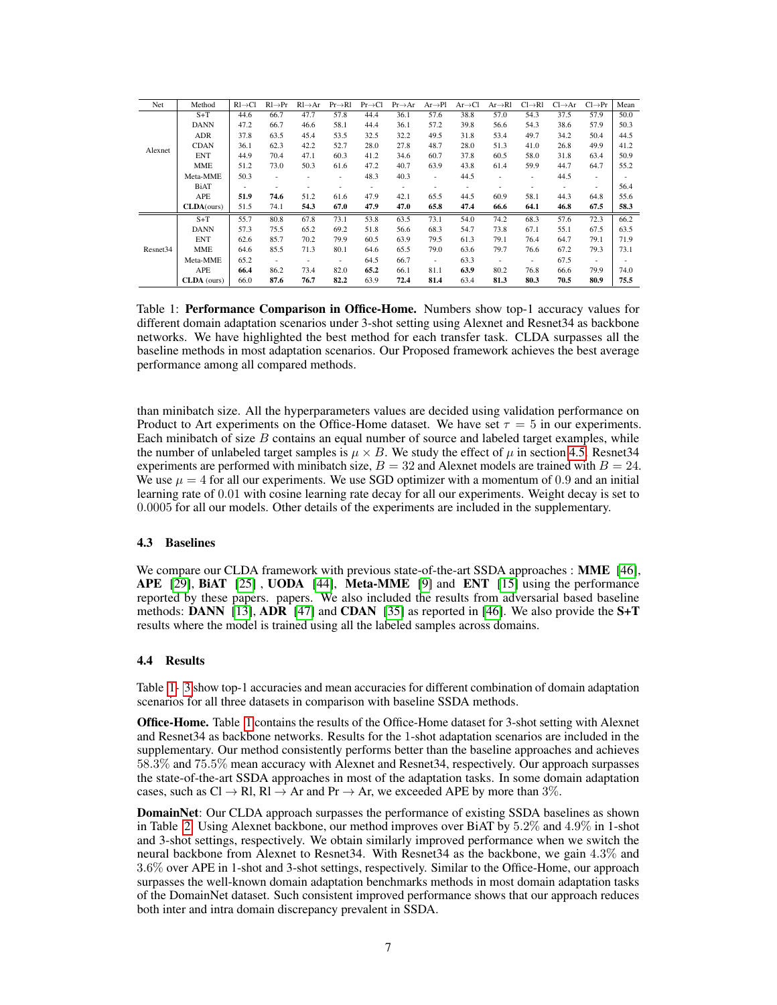<span id="page-6-0"></span>

| Net                  | Method      | $RI \rightarrow Cl$      | $Rl \rightarrow Pr$ | $Rl \rightarrow Ar$ | $Pr \rightarrow R1$      | $Pr \rightarrow Cl$ | $Pr \rightarrow Ar$ | $Ar \rightarrow Pl$      | $Ar \rightarrow Cl$ | $Ar \rightarrow Rl$      | $Cl \rightarrow R1$ | $Cl \rightarrow Ar$ | $Cl \rightarrow Pr$      | Mean |
|----------------------|-------------|--------------------------|---------------------|---------------------|--------------------------|---------------------|---------------------|--------------------------|---------------------|--------------------------|---------------------|---------------------|--------------------------|------|
|                      | $S+T$       | 44.6                     | 66.7                | 47.7                | 57.8                     | 44.4                | 36.1                | 57.6                     | 38.8                | 57.0                     | 54.3                | 37.5                | 57.9                     | 50.0 |
|                      | <b>DANN</b> | 47.2                     | 66.7                | 46.6                | 58.1                     | 44.4                | 36.1                | 57.2                     | 39.8                | 56.6                     | 54.3                | 38.6                | 57.9                     | 50.3 |
| Alexnet              | ADR         | 37.8                     | 63.5                | 45.4                | 53.5                     | 32.5                | 32.2                | 49.5                     | 31.8                | 53.4                     | 49.7                | 34.2                | 50.4                     | 44.5 |
|                      | <b>CDAN</b> | 36.1                     | 62.3                | 42.2                | 52.7                     | 28.0                | 27.8                | 48.7                     | 28.0                | 51.3                     | 41.0                | 26.8                | 49.9                     | 41.2 |
|                      | <b>ENT</b>  | 44.9                     | 70.4                | 47.1                | 60.3                     | 41.2                | 34.6                | 60.7                     | 37.8                | 60.5                     | 58.0                | 31.8                | 63.4                     | 50.9 |
|                      | <b>MME</b>  | 51.2                     | 73.0                | 50.3                | 61.6                     | 47.2                | 40.7                | 63.9                     | 43.8                | 61.4                     | 59.9                | 44.7                | 64.7                     | 55.2 |
|                      | Meta-MME    | 50.3                     | ٠                   | ٠                   | $\overline{\phantom{a}}$ | 48.3                | 40.3                | $\overline{\phantom{a}}$ | 44.5                | ٠                        | ٠                   | 44.5                | $\overline{\phantom{a}}$ |      |
|                      | <b>BiAT</b> | $\overline{\phantom{a}}$ |                     |                     | ٠                        |                     |                     | $\overline{\phantom{a}}$ |                     | ٠                        |                     | ٠                   | $\overline{\phantom{a}}$ | 56.4 |
|                      | <b>APE</b>  | 51.9                     | 74.6                | 51.2                | 61.6                     | 47.9                | 42.1                | 65.5                     | 44.5                | 60.9                     | 58.1                | 44.3                | 64.8                     | 55.6 |
|                      | CLDA(ours)  | 51.5                     | 74.1                | 54.3                | 67.0                     | 47.9                | 47.0                | 65.8                     | 47.4                | 66.6                     | 64.1                | 46.8                | 67.5                     | 58.3 |
|                      | $S+T$       | 55.7                     | 80.8                | 67.8                | 73.1                     | 53.8                | 63.5                | 73.1                     | 54.0                | 74.2                     | 68.3                | 57.6                | 72.3                     | 66.2 |
|                      | <b>DANN</b> | 57.3                     | 75.5                | 65.2                | 69.2                     | 51.8                | 56.6                | 68.3                     | 54.7                | 73.8                     | 67.1                | 55.1                | 67.5                     | 63.5 |
|                      | <b>ENT</b>  | 62.6                     | 85.7                | 70.2                | 79.9                     | 60.5                | 63.9                | 79.5                     | 61.3                | 79.1                     | 76.4                | 64.7                | 79.1                     | 71.9 |
| Resnet <sub>34</sub> | <b>MME</b>  | 64.6                     | 85.5                | 71.3                | 80.1                     | 64.6                | 65.5                | 79.0                     | 63.6                | 79.7                     | 76.6                | 67.2                | 79.3                     | 73.1 |
|                      | Meta-MME    | 65.2                     | ٠                   | -                   | $\overline{\phantom{a}}$ | 64.5                | 66.7                | $\overline{\phantom{a}}$ | 63.3                | $\overline{\phantom{a}}$ | ۰.                  | 67.5                | $\sim$                   |      |
|                      | <b>APE</b>  | 66.4                     | 86.2                | 73.4                | 82.0                     | 65.2                | 66.1                | 81.1                     | 63.9                | 80.2                     | 76.8                | 66.6                | 79.9                     | 74.0 |
|                      | CLDA (ours) | 66.0                     | 87.6                | 76.7                | 82.2                     | 63.9                | 72.4                | 81.4                     | 63.4                | 81.3                     | 80.3                | 70.5                | 80.9                     | 75.5 |

Table 1: Performance Comparison in Office-Home. Numbers show top-1 accuracy values for different domain adaptation scenarios under 3-shot setting using Alexnet and Resnet34 as backbone networks. We have highlighted the best method for each transfer task. CLDA surpasses all the baseline methods in most adaptation scenarios. Our Proposed framework achieves the best average performance among all compared methods.

than minibatch size. All the hyperparameters values are decided using validation performance on Product to Art experiments on the Office-Home dataset. We have set  $\tau = 5$  in our experiments. Each minibatch of size  $B$  contains an equal number of source and labeled target examples, while the number of unlabeled target samples is  $\mu \times B$ . We study the effect of  $\mu$  in section [4.5.](#page-7-0) Resnet 34 experiments are performed with minibatch size,  $B = 32$  and Alexnet models are trained with  $B = 24$ . We use  $\mu = 4$  for all our experiments. We use SGD optimizer with a momentum of 0.9 and an initial learning rate of 0.01 with cosine learning rate decay for all our experiments. Weight decay is set to 0.0005 for all our models. Other details of the experiments are included in the supplementary.

## 4.3 Baselines

We compare our CLDA framework with previous state-of-the-art SSDA approaches : MME [\[46\]](#page-12-4), APE [\[29\]](#page-11-4), BiAT [\[25\]](#page-11-16) , UODA [\[44\]](#page-12-13), Meta-MME [\[9\]](#page-10-14) and ENT [\[15\]](#page-10-16) using the performance reported by these papers. papers. We also included the results from adversarial based baseline methods: DANN [\[13\]](#page-10-17), ADR [\[47\]](#page-12-17) and CDAN [\[35\]](#page-11-6) as reported in [\[46\]](#page-12-4). We also provide the  $S+T$ results where the model is trained using all the labeled samples across domains.

#### 4.4 Results

Table [1-](#page-6-0) [3](#page-7-1) show top-1 accuracies and mean accuracies for different combination of domain adaptation scenarios for all three datasets in comparison with baseline SSDA methods.

Office-Home. Table [1](#page-6-0) contains the results of the Office-Home dataset for 3-shot setting with Alexnet and Resnet34 as backbone networks. Results for the 1-shot adaptation scenarios are included in the supplementary. Our method consistently performs better than the baseline approaches and achieves 58.3% and 75.5% mean accuracy with Alexnet and Resnet34, respectively. Our approach surpasses the state-of-the-art SSDA approaches in most of the adaptation tasks. In some domain adaptation cases, such as Cl  $\rightarrow$  Rl, Rl  $\rightarrow$  Ar and Pr  $\rightarrow$  Ar, we exceeded APE by more than 3%.

DomainNet: Our CLDA approach surpasses the performance of existing SSDA baselines as shown in Table [2.](#page-7-2) Using Alexnet backbone, our method improves over BiAT by 5.2% and 4.9% in 1-shot and 3-shot settings, respectively. We obtain similarly improved performance when we switch the neural backbone from Alexnet to Resnet34. With Resnet34 as the backbone, we gain 4.3% and 3.6% over APE in 1-shot and 3-shot settings, respectively. Similar to the Office-Home, our approach surpasses the well-known domain adaptation benchmarks methods in most domain adaptation tasks of the DomainNet dataset. Such consistent improved performance shows that our approach reduces both inter and intra domain discrepancy prevalent in SSDA.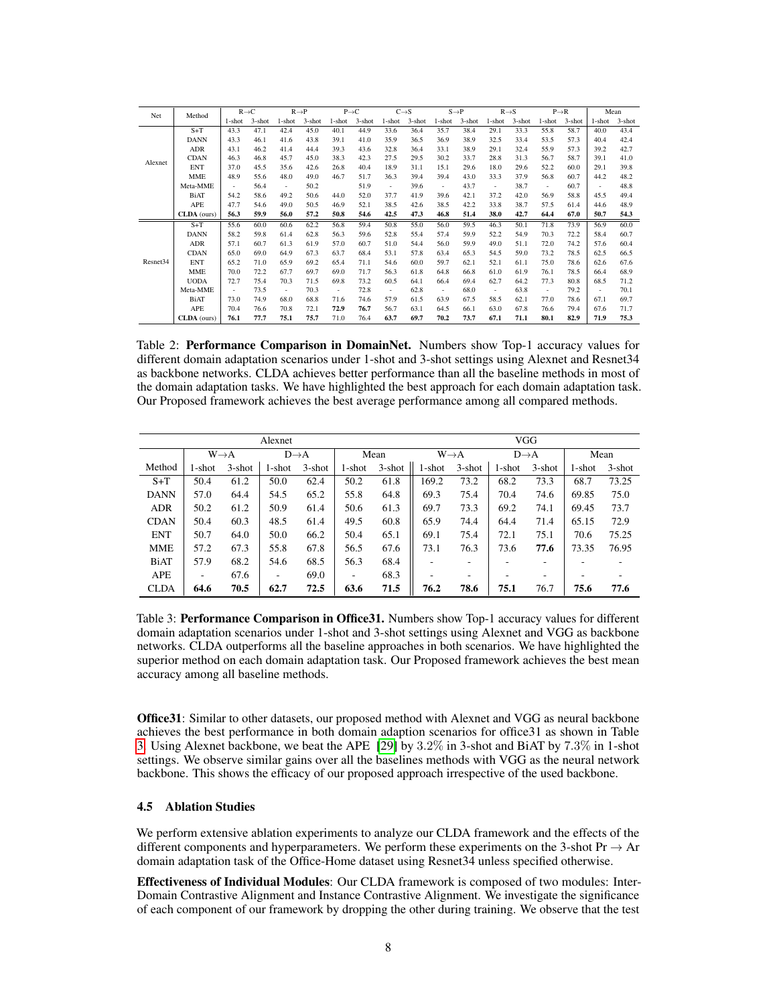<span id="page-7-2"></span>

| Net                  | Method      |        | $R \rightarrow C$ |                          | $R \rightarrow P$ |                          | $P \rightarrow C$ | $C \rightarrow S$ |        |        | $S \rightarrow P$ |        | $R \rightarrow S$ |        | $P \rightarrow R$ |           | Mean      |
|----------------------|-------------|--------|-------------------|--------------------------|-------------------|--------------------------|-------------------|-------------------|--------|--------|-------------------|--------|-------------------|--------|-------------------|-----------|-----------|
|                      |             | 1-shot | $3$ -shot         | 1-shot                   | $3$ -shot         | 1-shot                   | $3$ -shot         | 1-shot            | 3-shot | 1-shot | $3$ -shot         | 1-shot | $3$ -shot         | 1-shot | $3$ -shot         | $1$ -shot | $3$ -shot |
|                      | $S+T$       | 43.3   | 47.1              | 42.4                     | 45.0              | 40.1                     | 44.9              | 33.6              | 36.4   | 35.7   | 38.4              | 29.1   | 33.3              | 55.8   | 58.7              | 40.0      | 43.4      |
|                      | <b>DANN</b> | 43.3   | 46.1              | 41.6                     | 43.8              | 39.1                     | 41.0              | 35.9              | 36.5   | 36.9   | 38.9              | 32.5   | 33.4              | 53.5   | 57.3              | 40.4      | 42.4      |
|                      | ADR         | 43.1   | 46.2              | 41.4                     | 44.4              | 39.3                     | 43.6              | 32.8              | 36.4   | 33.1   | 38.9              | 29.1   | 32.4              | 55.9   | 57.3              | 39.2      | 42.7      |
| Alexnet              | <b>CDAN</b> | 46.3   | 46.8              | 45.7                     | 45.0              | 38.3                     | 42.3              | 27.5              | 29.5   | 30.2   | 33.7              | 28.8   | 31.3              | 56.7   | 58.7              | 39.1      | 41.0      |
|                      | ENT         | 37.0   | 45.5              | 35.6                     | 42.6              | 26.8                     | 40.4              | 18.9              | 31.1   | 15.1   | 29.6              | 18.0   | 29.6              | 52.2   | 60.0              | 29.1      | 39.8      |
|                      | <b>MME</b>  | 48.9   | 55.6              | 48.0                     | 49.0              | 46.7                     | 51.7              | 36.3              | 39.4   | 39.4   | 43.0              | 33.3   | 37.9              | 56.8   | 60.7              | 44.2      | 48.2      |
|                      | Meta-MME    | $\sim$ | 56.4              | $\overline{\phantom{a}}$ | 50.2              |                          | 51.9              | $\sim$            | 39.6   | $\sim$ | 43.7              | $\sim$ | 38.7              | $\sim$ | 60.7              | $\sim$    | 48.8      |
|                      | BiAT        | 54.2   | 58.6              | 49.2                     | 50.6              | 44.0                     | 52.0              | 37.7              | 41.9   | 39.6   | 42.1              | 37.2   | 42.0              | 56.9   | 58.8              | 45.5      | 49.4      |
|                      | APE         | 47.7   | 54.6              | 49.0                     | 50.5              | 46.9                     | 52.1              | 38.5              | 42.6   | 38.5   | 42.2              | 33.8   | 38.7              | 57.5   | 61.4              | 44.6      | 48.9      |
|                      | CLDA (ours) | 56.3   | 59.9              | 56.0                     | 57.2              | 50.8                     | 54.6              | 42.5              | 47.3   | 46.8   | 51.4              | 38.0   | 42.7              | 64.4   | 67.0              | 50.7      | 54.3      |
|                      | $S+T$       | 55.6   | 60.0              | 60.6                     | 62.2              | 56.8                     | 59.4              | 50.8              | 55.0   | 56.0   | 59.5              | 46.3   | 50.1              | 71.8   | 73.9              | 56.9      | 60.0      |
|                      | <b>DANN</b> | 58.2   | 59.8              | 61.4                     | 62.8              | 56.3                     | 59.6              | 52.8              | 55.4   | 57.4   | 59.9              | 52.2   | 54.9              | 70.3   | 72.2              | 58.4      | 60.7      |
|                      | ADR         | 57.1   | 60.7              | 61.3                     | 61.9              | 57.0                     | 60.7              | 51.0              | 54.4   | 56.0   | 59.9              | 49.0   | 51.1              | 72.0   | 74.2              | 57.6      | 60.4      |
|                      | <b>CDAN</b> | 65.0   | 69.0              | 64.9                     | 67.3              | 63.7                     | 68.4              | 53.1              | 57.8   | 63.4   | 65.3              | 54.5   | 59.0              | 73.2   | 78.5              | 62.5      | 66.5      |
| Resnet <sub>34</sub> | <b>ENT</b>  | 65.2   | 71.0              | 65.9                     | 69.2              | 65.4                     | 71.1              | 54.6              | 60.0   | 59.7   | 62.1              | 52.1   | 61.1              | 75.0   | 78.6              | 62.6      | 67.6      |
|                      | MME         | 70.0   | 72.2              | 67.7                     | 69.7              | 69.0                     | 71.7              | 56.3              | 61.8   | 64.8   | 66.8              | 61.0   | 61.9              | 76.1   | 78.5              | 66.4      | 68.9      |
|                      | <b>UODA</b> | 72.7   | 75.4              | 70.3                     | 71.5              | 69.8                     | 73.2              | 60.5              | 64.1   | 66.4   | 69.4              | 62.7   | 64.2              | 77.3   | 80.8              | 68.5      | 71.2      |
|                      | Meta-MME    | $\sim$ | 73.5              | $\overline{\phantom{a}}$ | 70.3              | $\overline{\phantom{a}}$ | 72.8              | $\sim$            | 62.8   | $\sim$ | 68.0              | $\sim$ | 63.8              | $\sim$ | 79.2              | $\sim$    | 70.1      |
|                      | <b>BiAT</b> | 73.0   | 74.9              | 68.0                     | 68.8              | 71.6                     | 74.6              | 57.9              | 61.5   | 63.9   | 67.5              | 58.5   | 62.1              | 77.0   | 78.6              | 67.1      | 69.7      |
|                      | APE         | 70.4   | 76.6              | 70.8                     | 72.1              | 72.9                     | 76.7              | 56.7              | 63.1   | 64.5   | 66.1              | 63.0   | 67.8              | 76.6   | 79.4              | 67.6      | 71.7      |
|                      | CLDA (ours) | 76.1   | 77.7              | 75.1                     | 75.7              | 71.0                     | 76.4              | 63.7              | 69.7   | 70.2   | 73.7              | 67.1   | 71.1              | 80.1   | 82.9              | 71.9      | 75.3      |

Table 2: Performance Comparison in DomainNet. Numbers show Top-1 accuracy values for different domain adaptation scenarios under 1-shot and 3-shot settings using Alexnet and Resnet34 as backbone networks. CLDA achieves better performance than all the baseline methods in most of the domain adaptation tasks. We have highlighted the best approach for each domain adaptation task. Our Proposed framework achieves the best average performance among all compared methods.

<span id="page-7-1"></span>

| Alexnet     |        |                                       |        |           |        |                   |           | <b>VGG</b>       |        |           |        |           |  |  |
|-------------|--------|---------------------------------------|--------|-----------|--------|-------------------|-----------|------------------|--------|-----------|--------|-----------|--|--|
|             |        | $W \rightarrow A$<br>$D\rightarrow A$ |        | Mean      |        | $W \rightarrow A$ |           | $D\rightarrow A$ |        | Mean      |        |           |  |  |
| Method      | 1-shot | $3$ -shot                             | 1-shot | $3$ -shot | 1-shot | $3$ -shot         | $1$ -shot | $3$ -shot        | 1-shot | $3$ -shot | 1-shot | $3$ -shot |  |  |
| $S+T$       | 50.4   | 61.2                                  | 50.0   | 62.4      | 50.2   | 61.8              | 169.2     | 73.2             | 68.2   | 73.3      | 68.7   | 73.25     |  |  |
| <b>DANN</b> | 57.0   | 64.4                                  | 54.5   | 65.2      | 55.8   | 64.8              | 69.3      | 75.4             | 70.4   | 74.6      | 69.85  | 75.0      |  |  |
| <b>ADR</b>  | 50.2   | 61.2                                  | 50.9   | 61.4      | 50.6   | 61.3              | 69.7      | 73.3             | 69.2   | 74.1      | 69.45  | 73.7      |  |  |
| <b>CDAN</b> | 50.4   | 60.3                                  | 48.5   | 61.4      | 49.5   | 60.8              | 65.9      | 74.4             | 64.4   | 71.4      | 65.15  | 72.9      |  |  |
| <b>ENT</b>  | 50.7   | 64.0                                  | 50.0   | 66.2      | 50.4   | 65.1              | 69.1      | 75.4             | 72.1   | 75.1      | 70.6   | 75.25     |  |  |
| <b>MME</b>  | 57.2   | 67.3                                  | 55.8   | 67.8      | 56.5   | 67.6              | 73.1      | 76.3             | 73.6   | 77.6      | 73.35  | 76.95     |  |  |
| <b>BiAT</b> | 57.9   | 68.2                                  | 54.6   | 68.5      | 56.3   | 68.4              |           | ۰                |        | ۰         | ۰      |           |  |  |
| APE         | ٠      | 67.6                                  | ٠      | 69.0      | ۰      | 68.3              |           | ٠                |        |           |        |           |  |  |
| <b>CLDA</b> | 64.6   | 70.5                                  | 62.7   | 72.5      | 63.6   | 71.5              | 76.2      | 78.6             | 75.1   | 76.7      | 75.6   | 77.6      |  |  |

Table 3: Performance Comparison in Office 31. Numbers show Top-1 accuracy values for different domain adaptation scenarios under 1-shot and 3-shot settings using Alexnet and VGG as backbone networks. CLDA outperforms all the baseline approaches in both scenarios. We have highlighted the superior method on each domain adaptation task. Our Proposed framework achieves the best mean accuracy among all baseline methods.

Office31: Similar to other datasets, our proposed method with Alexnet and VGG as neural backbone achieves the best performance in both domain adaption scenarios for office31 as shown in Table [3.](#page-7-1) Using Alexnet backbone, we beat the APE [\[29\]](#page-11-4) by 3.2% in 3-shot and BiAT by 7.3% in 1-shot settings. We observe similar gains over all the baselines methods with VGG as the neural network backbone. This shows the efficacy of our proposed approach irrespective of the used backbone.

#### <span id="page-7-0"></span>4.5 Ablation Studies

We perform extensive ablation experiments to analyze our CLDA framework and the effects of the different components and hyperparameters. We perform these experiments on the 3-shot  $Pr \rightarrow Ar$ domain adaptation task of the Office-Home dataset using Resnet34 unless specified otherwise.

Effectiveness of Individual Modules: Our CLDA framework is composed of two modules: Inter-Domain Contrastive Alignment and Instance Contrastive Alignment. We investigate the significance of each component of our framework by dropping the other during training. We observe that the test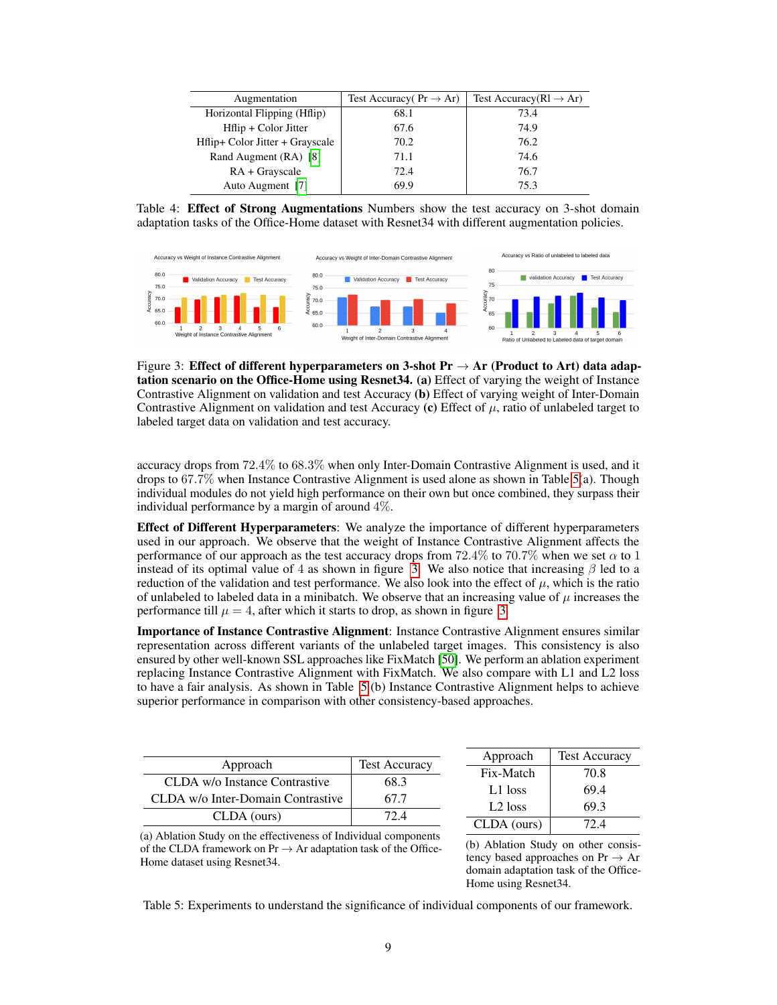<span id="page-8-2"></span>

| Augmentation                    | Test Accuracy $Pr \rightarrow Ar$ ) | Test Accuracy( $R1 \rightarrow Ar$ ) |  |  |
|---------------------------------|-------------------------------------|--------------------------------------|--|--|
| Horizontal Flipping (Hflip)     | 68.1                                | 73.4                                 |  |  |
| Hilip + Color Jitter            | 67.6                                | 74.9                                 |  |  |
| Hflip+ Color Jitter + Grayscale | 70.2                                | 76.2                                 |  |  |
| Rand Augment (RA) [8]           | 71.1                                | 74.6                                 |  |  |
| $RA + Grayscale$                | 72.4                                | 76.7                                 |  |  |
| Auto Augment [7]                | 69.9                                | 75.3                                 |  |  |

Table 4: Effect of Strong Augmentations Numbers show the test accuracy on 3-shot domain adaptation tasks of the Office-Home dataset with Resnet34 with different augmentation policies.

<span id="page-8-1"></span>

Figure 3: Effect of different hyperparameters on 3-shot  $Pr \rightarrow Ar$  (Product to Art) data adaptation scenario on the Office-Home using Resnet34. (a) Effect of varying the weight of Instance Contrastive Alignment on validation and test Accuracy (b) Effect of varying weight of Inter-Domain Contrastive Alignment on validation and test Accuracy (c) Effect of  $\mu$ , ratio of unlabeled target to labeled target data on validation and test accuracy.

accuracy drops from 72.4% to 68.3% when only Inter-Domain Contrastive Alignment is used, and it drops to 67.7% when Instance Contrastive Alignment is used alone as shown in Table [5\(](#page-8-0)a). Though individual modules do not yield high performance on their own but once combined, they surpass their individual performance by a margin of around 4%.

Effect of Different Hyperparameters: We analyze the importance of different hyperparameters used in our approach. We observe that the weight of Instance Contrastive Alignment affects the performance of our approach as the test accuracy drops from  $72.4\%$  to  $70.7\%$  when we set  $\alpha$  to 1 instead of its optimal value of 4 as shown in figure [3.](#page-8-1) We also notice that increasing  $\beta$  led to a reduction of the validation and test performance. We also look into the effect of  $\mu$ , which is the ratio of unlabeled to labeled data in a minibatch. We observe that an increasing value of  $\mu$  increases the performance till  $\mu = 4$ , after which it starts to drop, as shown in figure [3.](#page-8-1)

Importance of Instance Contrastive Alignment: Instance Contrastive Alignment ensures similar representation across different variants of the unlabeled target images. This consistency is also ensured by other well-known SSL approaches like FixMatch [\[50\]](#page-12-9). We perform an ablation experiment replacing Instance Contrastive Alignment with FixMatch. We also compare with L1 and L2 loss to have a fair analysis. As shown in Table [5](#page-8-0) (b) Instance Contrastive Alignment helps to achieve superior performance in comparison with other consistency-based approaches.

<span id="page-8-0"></span>

| Approach                          | <b>Test Accuracy</b> | Approach            | <b>Test Accuracy</b> |
|-----------------------------------|----------------------|---------------------|----------------------|
|                                   |                      | Fix-Match           | 70.8                 |
| CLDA w/o Instance Contrastive     | 68.3                 |                     | 69.4                 |
| CLDA w/o Inter-Domain Contrastive | 67.7                 | L1 loss             |                      |
|                                   |                      | L <sub>2</sub> loss | 69.3                 |
| CLDA (ours)                       | 72.4                 | CLDA (ours)         | 72.4                 |
|                                   |                      |                     |                      |

(a) Ablation Study on the effectiveness of Individual components of the CLDA framework on  $Pr \rightarrow Ar$  adaptation task of the Office-Home dataset using Resnet34.

(b) Ablation Study on other consistency based approaches on  $Pr \rightarrow Ar$ domain adaptation task of the Office-Home using Resnet34.

Table 5: Experiments to understand the significance of individual components of our framework.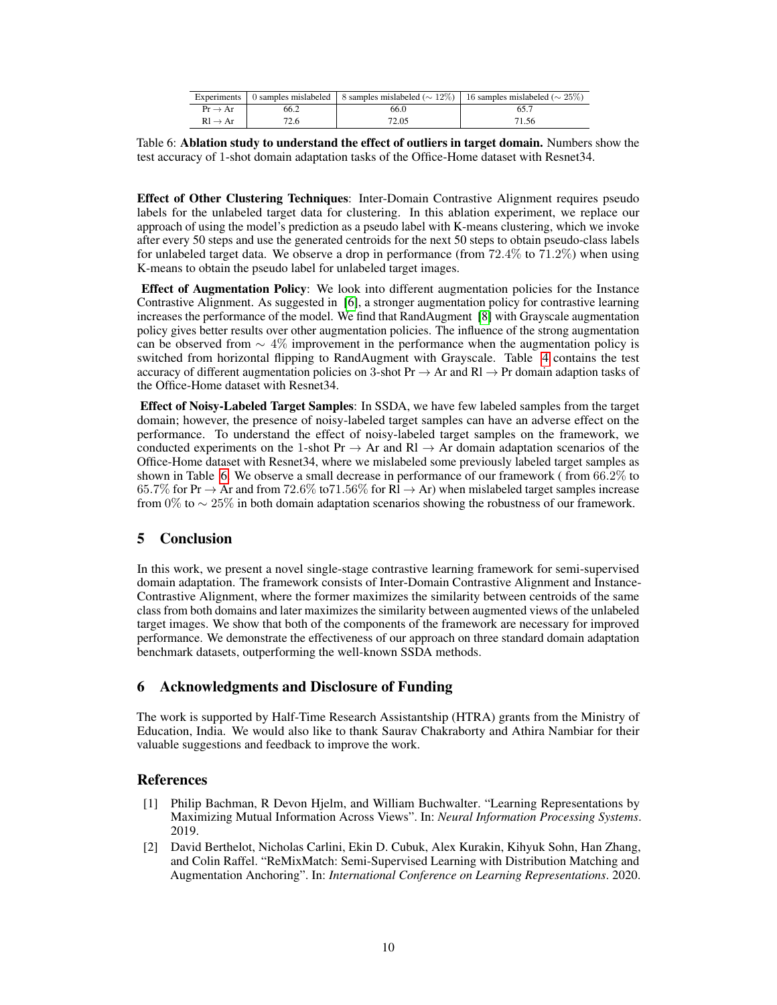<span id="page-9-2"></span>

|                     |      |       | Experiments   0 samples mislabeled   8 samples mislabeled ( $\sim$ 12%)   16 samples mislabeled ( $\sim$ 25%) |  |  |
|---------------------|------|-------|---------------------------------------------------------------------------------------------------------------|--|--|
| $Pr \rightarrow Ar$ | 66.2 | 66.0  |                                                                                                               |  |  |
| $Rl \rightarrow Ar$ | 72.6 | 72.05 | 71.56                                                                                                         |  |  |

Table 6: Ablation study to understand the effect of outliers in target domain. Numbers show the test accuracy of 1-shot domain adaptation tasks of the Office-Home dataset with Resnet34.

Effect of Other Clustering Techniques: Inter-Domain Contrastive Alignment requires pseudo labels for the unlabeled target data for clustering. In this ablation experiment, we replace our approach of using the model's prediction as a pseudo label with K-means clustering, which we invoke after every 50 steps and use the generated centroids for the next 50 steps to obtain pseudo-class labels for unlabeled target data. We observe a drop in performance (from  $72.4\%$  to  $71.2\%$ ) when using K-means to obtain the pseudo label for unlabeled target images.

Effect of Augmentation Policy: We look into different augmentation policies for the Instance Contrastive Alignment. As suggested in [\[6\]](#page-10-3), a stronger augmentation policy for contrastive learning increases the performance of the model. We find that RandAugment [\[8\]](#page-10-15) with Grayscale augmentation policy gives better results over other augmentation policies. The influence of the strong augmentation can be observed from  $\sim$  4% improvement in the performance when the augmentation policy is switched from horizontal flipping to RandAugment with Grayscale. Table [4](#page-8-2) contains the test accuracy of different augmentation policies on 3-shot Pr  $\rightarrow$  Ar and Rl  $\rightarrow$  Pr domain adaption tasks of the Office-Home dataset with Resnet34.

Effect of Noisy-Labeled Target Samples: In SSDA, we have few labeled samples from the target domain; however, the presence of noisy-labeled target samples can have an adverse effect on the performance. To understand the effect of noisy-labeled target samples on the framework, we conducted experiments on the 1-shot Pr  $\rightarrow$  Ar and Rl  $\rightarrow$  Ar domain adaptation scenarios of the Office-Home dataset with Resnet34, where we mislabeled some previously labeled target samples as shown in Table [6.](#page-9-2) We observe a small decrease in performance of our framework ( from 66.2% to 65.7% for Pr  $\rightarrow$  Ar and from 72.6% to 71.56% for Rl  $\rightarrow$  Ar) when mislabeled target samples increase from 0% to  $\sim$  25% in both domain adaptation scenarios showing the robustness of our framework.

# 5 Conclusion

In this work, we present a novel single-stage contrastive learning framework for semi-supervised domain adaptation. The framework consists of Inter-Domain Contrastive Alignment and Instance-Contrastive Alignment, where the former maximizes the similarity between centroids of the same class from both domains and later maximizes the similarity between augmented views of the unlabeled target images. We show that both of the components of the framework are necessary for improved performance. We demonstrate the effectiveness of our approach on three standard domain adaptation benchmark datasets, outperforming the well-known SSDA methods.

## 6 Acknowledgments and Disclosure of Funding

The work is supported by Half-Time Research Assistantship (HTRA) grants from the Ministry of Education, India. We would also like to thank Saurav Chakraborty and Athira Nambiar for their valuable suggestions and feedback to improve the work.

## References

- <span id="page-9-1"></span>[1] Philip Bachman, R Devon Hjelm, and William Buchwalter. "Learning Representations by Maximizing Mutual Information Across Views". In: *Neural Information Processing Systems*. 2019.
- <span id="page-9-0"></span>[2] David Berthelot, Nicholas Carlini, Ekin D. Cubuk, Alex Kurakin, Kihyuk Sohn, Han Zhang, and Colin Raffel. "ReMixMatch: Semi-Supervised Learning with Distribution Matching and Augmentation Anchoring". In: *International Conference on Learning Representations*. 2020.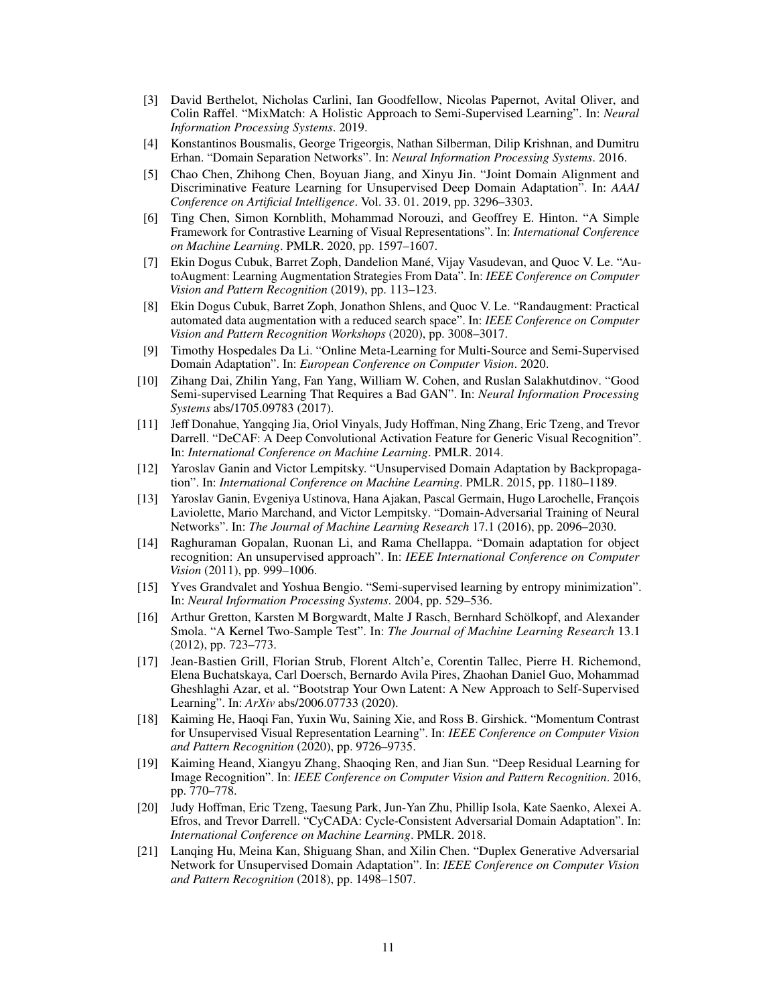- <span id="page-10-12"></span>[3] David Berthelot, Nicholas Carlini, Ian Goodfellow, Nicolas Papernot, Avital Oliver, and Colin Raffel. "MixMatch: A Holistic Approach to Semi-Supervised Learning". In: *Neural Information Processing Systems*. 2019.
- <span id="page-10-8"></span>[4] Konstantinos Bousmalis, George Trigeorgis, Nathan Silberman, Dilip Krishnan, and Dumitru Erhan. "Domain Separation Networks". In: *Neural Information Processing Systems*. 2016.
- <span id="page-10-9"></span>[5] Chao Chen, Zhihong Chen, Boyuan Jiang, and Xinyu Jin. "Joint Domain Alignment and Discriminative Feature Learning for Unsupervised Deep Domain Adaptation". In: *AAAI Conference on Artificial Intelligence*. Vol. 33. 01. 2019, pp. 3296–3303.
- <span id="page-10-3"></span>[6] Ting Chen, Simon Kornblith, Mohammad Norouzi, and Geoffrey E. Hinton. "A Simple Framework for Contrastive Learning of Visual Representations". In: *International Conference on Machine Learning*. PMLR. 2020, pp. 1597–1607.
- <span id="page-10-18"></span>[7] Ekin Dogus Cubuk, Barret Zoph, Dandelion Mané, Vijay Vasudevan, and Quoc V. Le. "AutoAugment: Learning Augmentation Strategies From Data". In: *IEEE Conference on Computer Vision and Pattern Recognition* (2019), pp. 113–123.
- <span id="page-10-15"></span>[8] Ekin Dogus Cubuk, Barret Zoph, Jonathon Shlens, and Quoc V. Le. "Randaugment: Practical automated data augmentation with a reduced search space". In: *IEEE Conference on Computer Vision and Pattern Recognition Workshops* (2020), pp. 3008–3017.
- <span id="page-10-14"></span>[9] Timothy Hospedales Da Li. "Online Meta-Learning for Multi-Source and Semi-Supervised Domain Adaptation". In: *European Conference on Computer Vision*. 2020.
- <span id="page-10-13"></span>[10] Zihang Dai, Zhilin Yang, Fan Yang, William W. Cohen, and Ruslan Salakhutdinov. "Good Semi-supervised Learning That Requires a Bad GAN". In: *Neural Information Processing Systems* abs/1705.09783 (2017).
- <span id="page-10-1"></span>[11] Jeff Donahue, Yangqing Jia, Oriol Vinyals, Judy Hoffman, Ning Zhang, Eric Tzeng, and Trevor Darrell. "DeCAF: A Deep Convolutional Activation Feature for Generic Visual Recognition". In: *International Conference on Machine Learning*. PMLR. 2014.
- <span id="page-10-2"></span>[12] Yaroslav Ganin and Victor Lempitsky. "Unsupervised Domain Adaptation by Backpropagation". In: *International Conference on Machine Learning*. PMLR. 2015, pp. 1180–1189.
- <span id="page-10-17"></span>[13] Yaroslav Ganin, Evgeniya Ustinova, Hana Ajakan, Pascal Germain, Hugo Larochelle, François Laviolette, Mario Marchand, and Victor Lempitsky. "Domain-Adversarial Training of Neural Networks". In: *The Journal of Machine Learning Research* 17.1 (2016), pp. 2096–2030.
- <span id="page-10-6"></span>[14] Raghuraman Gopalan, Ruonan Li, and Rama Chellappa. "Domain adaptation for object recognition: An unsupervised approach". In: *IEEE International Conference on Computer Vision* (2011), pp. 999–1006.
- <span id="page-10-16"></span>[15] Yves Grandvalet and Yoshua Bengio. "Semi-supervised learning by entropy minimization". In: *Neural Information Processing Systems*. 2004, pp. 529–536.
- <span id="page-10-7"></span>[16] Arthur Gretton, Karsten M Borgwardt, Malte J Rasch, Bernhard Schölkopf, and Alexander Smola. "A Kernel Two-Sample Test". In: *The Journal of Machine Learning Research* 13.1 (2012), pp. 723–773.
- <span id="page-10-5"></span>[17] Jean-Bastien Grill, Florian Strub, Florent Altch'e, Corentin Tallec, Pierre H. Richemond, Elena Buchatskaya, Carl Doersch, Bernardo Avila Pires, Zhaohan Daniel Guo, Mohammad Gheshlaghi Azar, et al. "Bootstrap Your Own Latent: A New Approach to Self-Supervised Learning". In: *ArXiv* abs/2006.07733 (2020).
- <span id="page-10-4"></span>[18] Kaiming He, Haoqi Fan, Yuxin Wu, Saining Xie, and Ross B. Girshick. "Momentum Contrast for Unsupervised Visual Representation Learning". In: *IEEE Conference on Computer Vision and Pattern Recognition* (2020), pp. 9726–9735.
- <span id="page-10-0"></span>[19] Kaiming Heand, Xiangyu Zhang, Shaoqing Ren, and Jian Sun. "Deep Residual Learning for Image Recognition". In: *IEEE Conference on Computer Vision and Pattern Recognition*. 2016, pp. 770–778.
- <span id="page-10-10"></span>[20] Judy Hoffman, Eric Tzeng, Taesung Park, Jun-Yan Zhu, Phillip Isola, Kate Saenko, Alexei A. Efros, and Trevor Darrell. "CyCADA: Cycle-Consistent Adversarial Domain Adaptation". In: *International Conference on Machine Learning*. PMLR. 2018.
- <span id="page-10-11"></span>[21] Lanqing Hu, Meina Kan, Shiguang Shan, and Xilin Chen. "Duplex Generative Adversarial Network for Unsupervised Domain Adaptation". In: *IEEE Conference on Computer Vision and Pattern Recognition* (2018), pp. 1498–1507.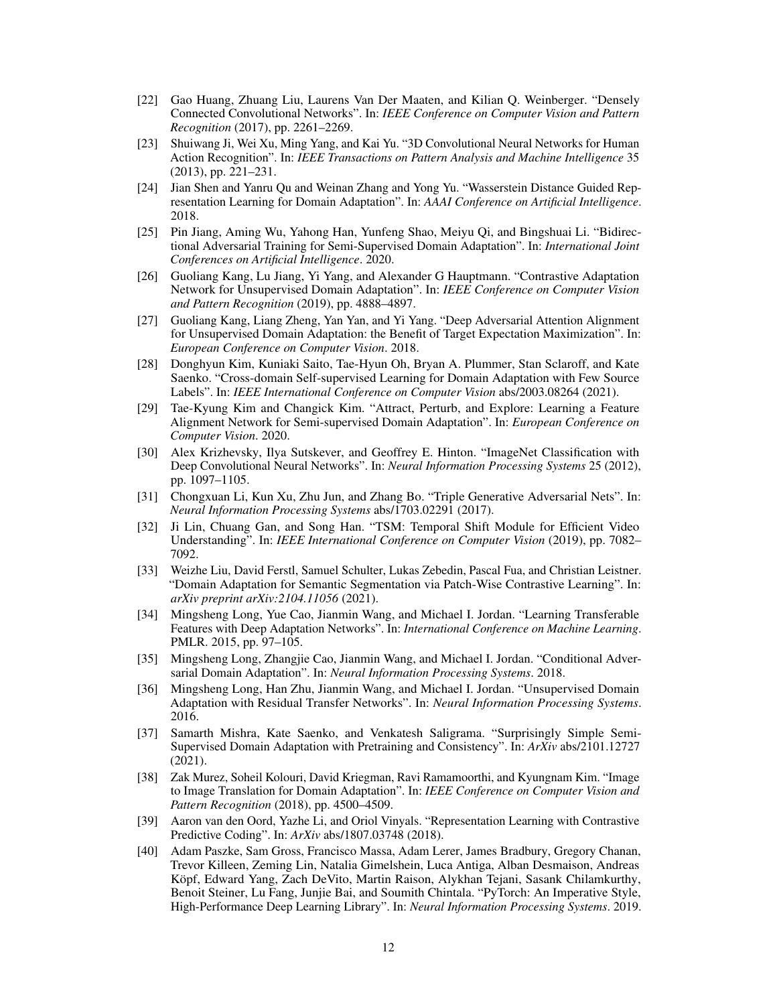- <span id="page-11-1"></span>[22] Gao Huang, Zhuang Liu, Laurens Van Der Maaten, and Kilian Q. Weinberger. "Densely Connected Convolutional Networks". In: *IEEE Conference on Computer Vision and Pattern Recognition* (2017), pp. 2261–2269.
- <span id="page-11-2"></span>[23] Shuiwang Ji, Wei Xu, Ming Yang, and Kai Yu. "3D Convolutional Neural Networks for Human Action Recognition". In: *IEEE Transactions on Pattern Analysis and Machine Intelligence* 35 (2013), pp. 221–231.
- <span id="page-11-10"></span>[24] Jian Shen and Yanru Qu and Weinan Zhang and Yong Yu. "Wasserstein Distance Guided Representation Learning for Domain Adaptation". In: *AAAI Conference on Artificial Intelligence*. 2018.
- <span id="page-11-16"></span>[25] Pin Jiang, Aming Wu, Yahong Han, Yunfeng Shao, Meiyu Qi, and Bingshuai Li. "Bidirectional Adversarial Training for Semi-Supervised Domain Adaptation". In: *International Joint Conferences on Artificial Intelligence*. 2020.
- <span id="page-11-8"></span>[26] Guoliang Kang, Lu Jiang, Yi Yang, and Alexander G Hauptmann. "Contrastive Adaptation Network for Unsupervised Domain Adaptation". In: *IEEE Conference on Computer Vision and Pattern Recognition* (2019), pp. 4888–4897.
- <span id="page-11-11"></span>[27] Guoliang Kang, Liang Zheng, Yan Yan, and Yi Yang. "Deep Adversarial Attention Alignment for Unsupervised Domain Adaptation: the Benefit of Target Expectation Maximization". In: *European Conference on Computer Vision*. 2018.
- <span id="page-11-9"></span>[28] Donghyun Kim, Kuniaki Saito, Tae-Hyun Oh, Bryan A. Plummer, Stan Sclaroff, and Kate Saenko. "Cross-domain Self-supervised Learning for Domain Adaptation with Few Source Labels". In: *IEEE International Conference on Computer Vision* abs/2003.08264 (2021).
- <span id="page-11-4"></span>[29] Tae-Kyung Kim and Changick Kim. "Attract, Perturb, and Explore: Learning a Feature Alignment Network for Semi-supervised Domain Adaptation". In: *European Conference on Computer Vision*. 2020.
- <span id="page-11-0"></span>[30] Alex Krizhevsky, Ilya Sutskever, and Geoffrey E. Hinton. "ImageNet Classification with Deep Convolutional Neural Networks". In: *Neural Information Processing Systems* 25 (2012), pp. 1097–1105.
- <span id="page-11-14"></span>[31] Chongxuan Li, Kun Xu, Zhu Jun, and Zhang Bo. "Triple Generative Adversarial Nets". In: *Neural Information Processing Systems* abs/1703.02291 (2017).
- <span id="page-11-3"></span>[32] Ji Lin, Chuang Gan, and Song Han. "TSM: Temporal Shift Module for Efficient Video Understanding". In: *IEEE International Conference on Computer Vision* (2019), pp. 7082– 7092.
- <span id="page-11-15"></span>[33] Weizhe Liu, David Ferstl, Samuel Schulter, Lukas Zebedin, Pascal Fua, and Christian Leistner. "Domain Adaptation for Semantic Segmentation via Patch-Wise Contrastive Learning". In: *arXiv preprint arXiv:2104.11056* (2021).
- <span id="page-11-12"></span>[34] Mingsheng Long, Yue Cao, Jianmin Wang, and Michael I. Jordan. "Learning Transferable Features with Deep Adaptation Networks". In: *International Conference on Machine Learning*. PMLR. 2015, pp. 97–105.
- <span id="page-11-6"></span>[35] Mingsheng Long, Zhangjie Cao, Jianmin Wang, and Michael I. Jordan. "Conditional Adversarial Domain Adaptation". In: *Neural Information Processing Systems*. 2018.
- <span id="page-11-5"></span>[36] Mingsheng Long, Han Zhu, Jianmin Wang, and Michael I. Jordan. "Unsupervised Domain Adaptation with Residual Transfer Networks". In: *Neural Information Processing Systems*. 2016.
- <span id="page-11-17"></span>[37] Samarth Mishra, Kate Saenko, and Venkatesh Saligrama. "Surprisingly Simple Semi-Supervised Domain Adaptation with Pretraining and Consistency". In: *ArXiv* abs/2101.12727 (2021).
- <span id="page-11-13"></span>[38] Zak Murez, Soheil Kolouri, David Kriegman, Ravi Ramamoorthi, and Kyungnam Kim. "Image to Image Translation for Domain Adaptation". In: *IEEE Conference on Computer Vision and Pattern Recognition* (2018), pp. 4500–4509.
- <span id="page-11-7"></span>[39] Aaron van den Oord, Yazhe Li, and Oriol Vinyals. "Representation Learning with Contrastive Predictive Coding". In: *ArXiv* abs/1807.03748 (2018).
- <span id="page-11-18"></span>[40] Adam Paszke, Sam Gross, Francisco Massa, Adam Lerer, James Bradbury, Gregory Chanan, Trevor Killeen, Zeming Lin, Natalia Gimelshein, Luca Antiga, Alban Desmaison, Andreas Köpf, Edward Yang, Zach DeVito, Martin Raison, Alykhan Tejani, Sasank Chilamkurthy, Benoit Steiner, Lu Fang, Junjie Bai, and Soumith Chintala. "PyTorch: An Imperative Style, High-Performance Deep Learning Library". In: *Neural Information Processing Systems*. 2019.